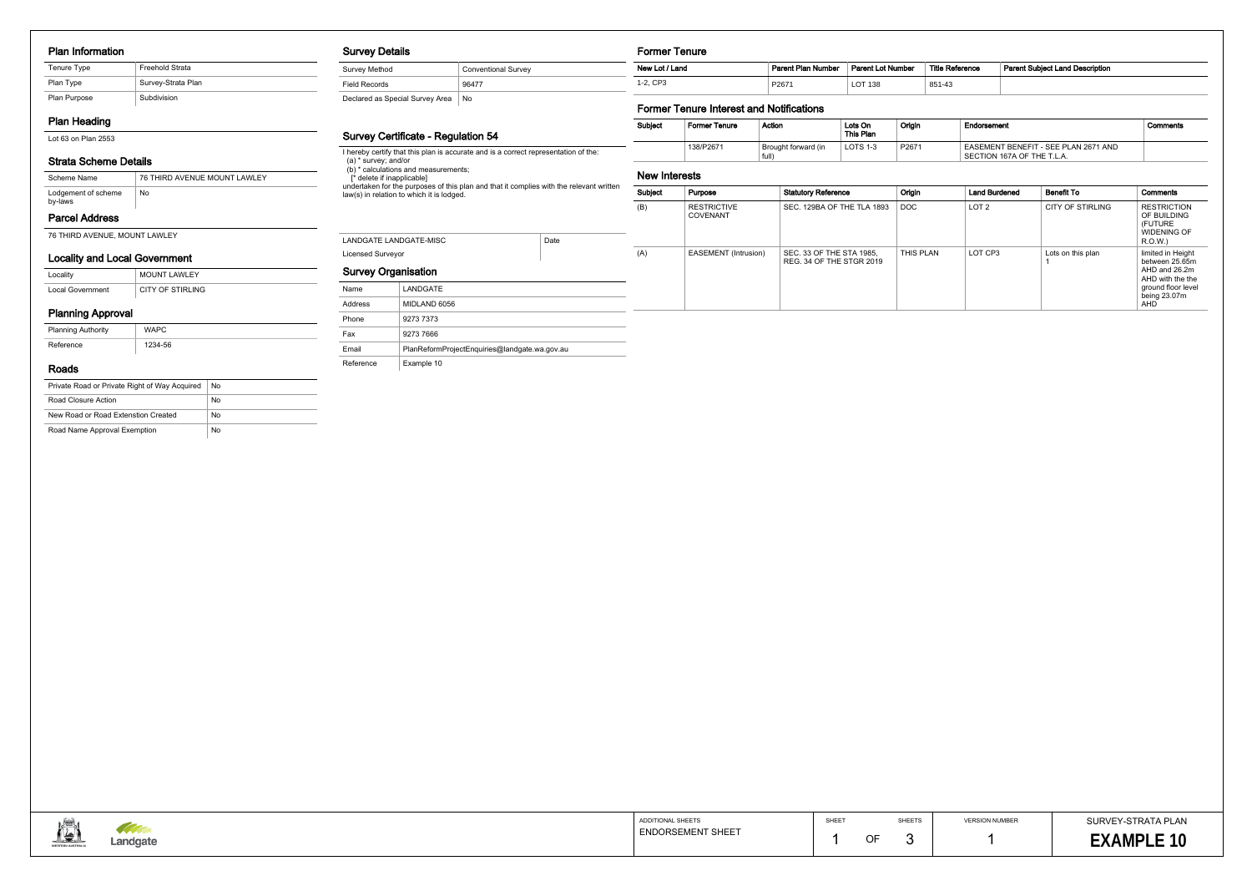#### Plan Information

| Tenure Type  | <b>Freehold Strata</b> |
|--------------|------------------------|
| Plan Type    | Survey-Strata Plan     |
| Plan Purpose | Subdivision            |

## Plan Heading

Lot 63 on Plan 2553

## Strata Scheme Details

## Parcel Address

76 THIRD AVENUE, MOUNT LAWLEY

| Scheme Name                    | 76 THIRD AVENUE MOUNT LAWLEY |
|--------------------------------|------------------------------|
| Lodgement of scheme<br>by-laws | No.                          |

## Locality and Local Government

| Locality         | <b>MOUNT LAWLEY</b> |
|------------------|---------------------|
| Local Government | CITY OF STIRLING    |

## Planning Approval

| <b>Planning Authority</b> | <b>WAPC</b> |
|---------------------------|-------------|
| Reference                 | 1234-56     |

#### Roads

| Private Road or Private Right of Way Acquired | No |
|-----------------------------------------------|----|
| Road Closure Action                           | No |
| New Road or Road Extenstion Created           | No |
| Road Name Approval Exemption                  | No |

#### Survey Details

Survey Method Conventional Survey Field Records 86477

Declared as Special Survey Area No

### Survey Certificate - Regulation 54

I hereby certify that this plan is accurate and is a correct representation of the: (a) \* survey; and/or

(b) \* calculations and measurements;

[\* delete if inapplicable]

undertaken for the purposes of this plan and that it complies with the relevant written law(s) in relation to which it is lodged.

# Licensed Surveyor LANDGATE LANDGATE-MISC Date Survey Organisation

| Name      | LANDGATE                                      |
|-----------|-----------------------------------------------|
| Address   | MIDLAND 6056                                  |
| Phone     | 9273 7373                                     |
| Fax       | 9273 7666                                     |
| Email     | PlanReformProjectEnguiries@landgate.wa.gov.au |
| Reference | Example 10                                    |

Former Tenure

| New Lot / Land | Parent Plan Number | <b>Parent Lot Number</b> | <b>Title Reference</b> | <b>Parent Subiect Land Description</b> |
|----------------|--------------------|--------------------------|------------------------|----------------------------------------|
| 1-2. CP3       | P2671              | ∟OT 138                  | 851-43                 |                                        |

## Former Tenure Interest and Notifications

| Subject | <b>Former Tenure</b> | Action                       | Lots On<br>This Plan | Origin | Endorsement                                                        | Comments |
|---------|----------------------|------------------------------|----------------------|--------|--------------------------------------------------------------------|----------|
|         | 138/P2671            | Brought forward (in<br>full) | LOTS 1-3             | P2671  | EASEMENT BENEFIT - SEE PLAN 2671 AND<br>SECTION 167A OF THE T.L.A. |          |

#### New Interests

| Subject | Purpose                        | <b>Statutory Reference</b>                           | Origin    | <b>Land Burdened</b> | <b>Benefit To</b>       | Comments                                                                                                              |
|---------|--------------------------------|------------------------------------------------------|-----------|----------------------|-------------------------|-----------------------------------------------------------------------------------------------------------------------|
| (B)     | <b>RESTRICTIVE</b><br>COVENANT | SEC. 129BA OF THE TLA 1893                           | DOC       | LOT <sub>2</sub>     | <b>CITY OF STIRLING</b> | <b>RESTRICTION</b><br>OF BUILDING<br>(FUTURE)<br><b>WIDENING OF</b><br>R.O.W.                                         |
| (A)     | EASEMENT (Intrusion)           | SEC. 33 OF THE STA 1985.<br>REG. 34 OF THE STGR 2019 | THIS PLAN | LOT CP3              | Lots on this plan       | limited in Height<br>between 25.65m<br>AHD and 26.2m<br>AHD with the the<br>ground floor level<br>being 23.07m<br>AHD |



| Reference | <b>Parent Subject Land Description</b> |
|-----------|----------------------------------------|
| 43        |                                        |

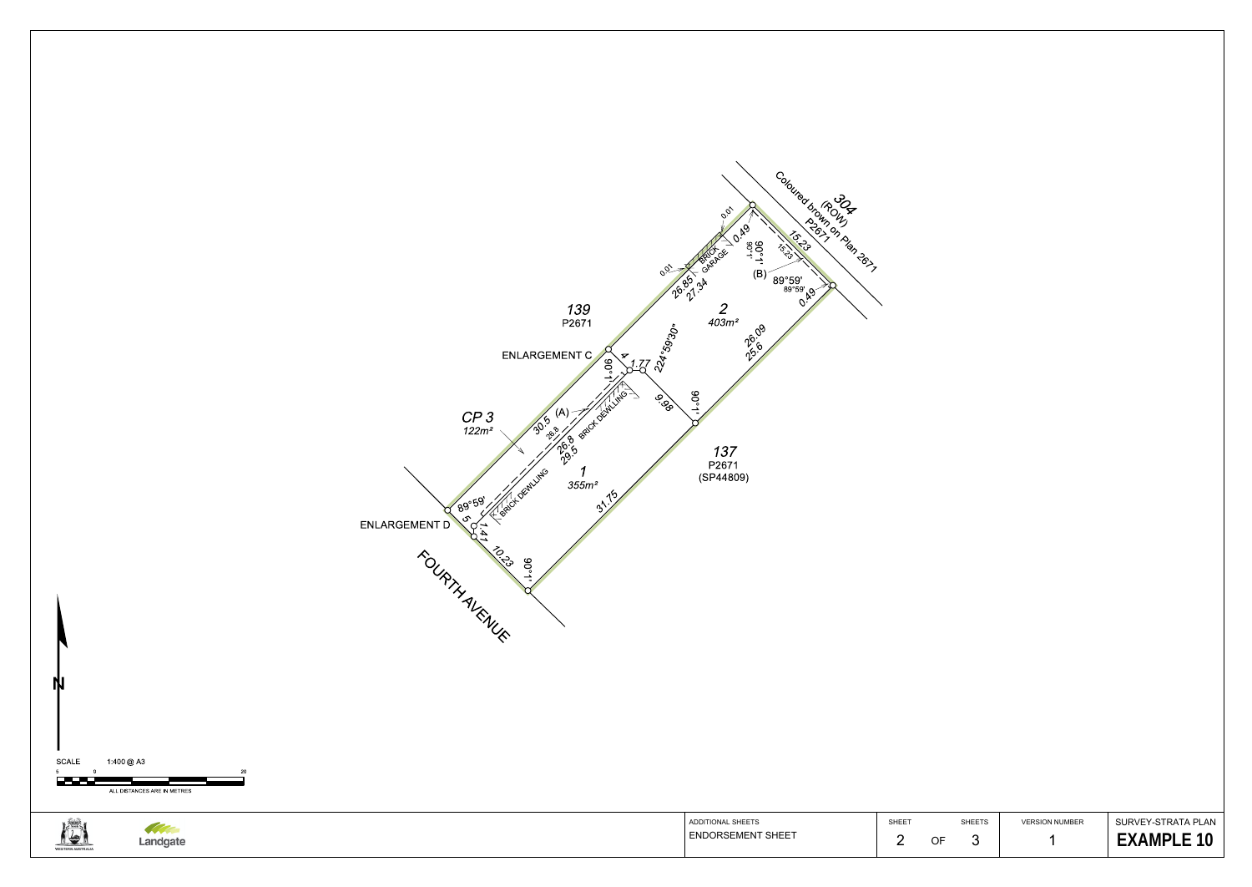